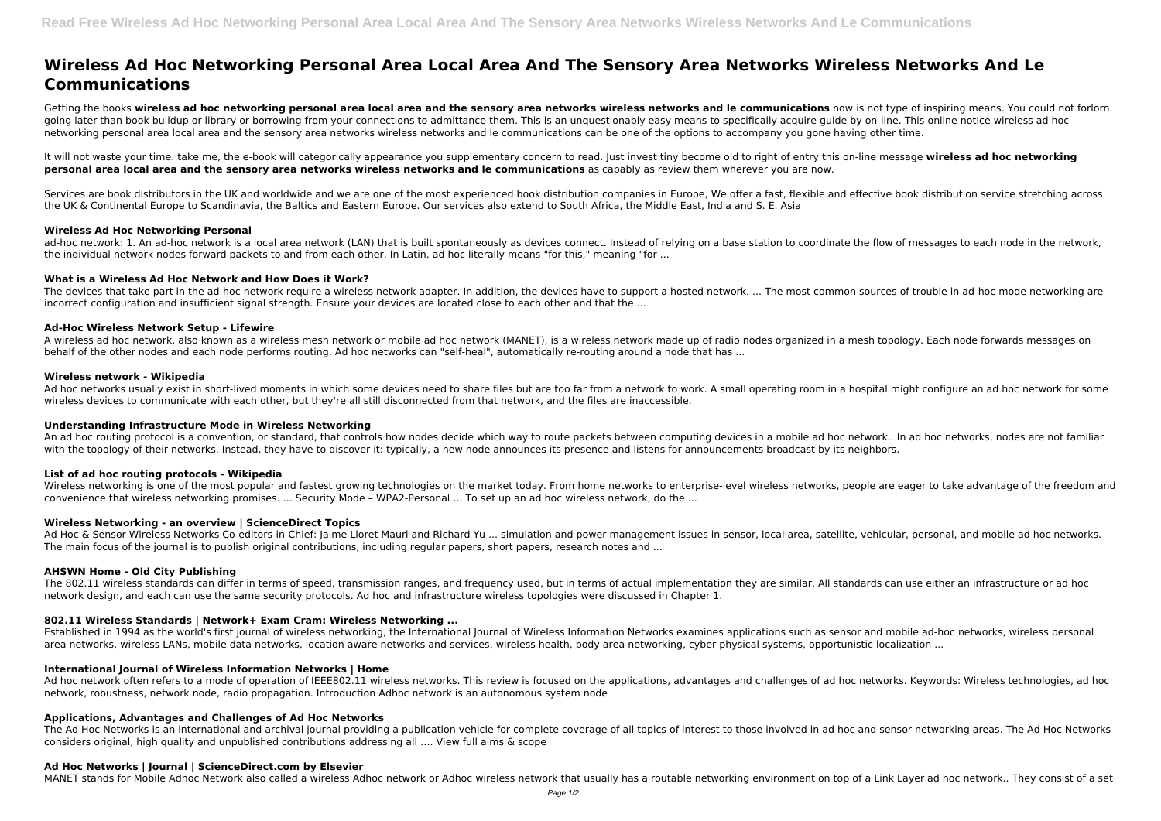# **Wireless Ad Hoc Networking Personal Area Local Area And The Sensory Area Networks Wireless Networks And Le Communications**

Getting the books wireless ad hoc networking personal area local area and the sensory area networks wireless networks and le communications now is not type of inspiring means. You could not forlorn going later than book buildup or library or borrowing from your connections to admittance them. This is an unquestionably easy means to specifically acquire guide by on-line. This online notice wireless ad hoc networking personal area local area and the sensory area networks wireless networks and le communications can be one of the options to accompany you gone having other time.

Services are book distributors in the UK and worldwide and we are one of the most experienced book distribution companies in Europe. We offer a fast, flexible and effective book distribution service stretching across the UK & Continental Europe to Scandinavia, the Baltics and Eastern Europe. Our services also extend to South Africa, the Middle East, India and S. E. Asia

ad-hoc network: 1. An ad-hoc network is a local area network (LAN) that is built spontaneously as devices connect. Instead of relying on a base station to coordinate the flow of messages to each node in the network, the individual network nodes forward packets to and from each other. In Latin, ad hoc literally means "for this," meaning "for ...

It will not waste your time. take me, the e-book will categorically appearance you supplementary concern to read. Just invest tiny become old to right of entry this on-line message **wireless ad hoc networking personal area local area and the sensory area networks wireless networks and le communications** as capably as review them wherever you are now.

The devices that take part in the ad-hoc network require a wireless network adapter. In addition, the devices have to support a hosted network. ... The most common sources of trouble in ad-hoc mode networking are incorrect configuration and insufficient signal strength. Ensure your devices are located close to each other and that the ...

Ad hoc networks usually exist in short-lived moments in which some devices need to share files but are too far from a network to work. A small operating room in a hospital might configure an ad hoc network for some wireless devices to communicate with each other, but they're all still disconnected from that network, and the files are inaccessible.

## **Wireless Ad Hoc Networking Personal**

## **What is a Wireless Ad Hoc Network and How Does it Work?**

Wireless networking is one of the most popular and fastest growing technologies on the market today. From home networks to enterprise-level wireless networks, people are eager to take advantage of the freedom and convenience that wireless networking promises. ... Security Mode – WPA2-Personal ... To set up an ad hoc wireless network, do the ...

Ad Hoc & Sensor Wireless Networks Co-editors-in-Chief: Jaime Lloret Mauri and Richard Yu ... simulation and power management issues in sensor, local area, satellite, vehicular, personal, and mobile ad hoc networks. The main focus of the journal is to publish original contributions, including regular papers, short papers, research notes and ...

# **Ad-Hoc Wireless Network Setup - Lifewire**

Established in 1994 as the world's first journal of wireless networking, the International Journal of Wireless Information Networks examines applications such as sensor and mobile ad-hoc networks, wireless personal area networks, wireless LANs, mobile data networks, location aware networks and services, wireless health, body area networking, cyber physical systems, opportunistic localization ...

A wireless ad hoc network, also known as a wireless mesh network or mobile ad hoc network (MANET), is a wireless network made up of radio nodes organized in a mesh topology. Each node forwards messages on behalf of the other nodes and each node performs routing. Ad hoc networks can "self-heal", automatically re-routing around a node that has ...

## **Wireless network - Wikipedia**

Ad hoc network often refers to a mode of operation of IEEE802.11 wireless networks. This review is focused on the applications, advantages and challenges of ad hoc networks. Keywords: Wireless technologies, ad hoc network, robustness, network node, radio propagation. Introduction Adhoc network is an autonomous system node

The Ad Hoc Networks is an international and archival journal providing a publication vehicle for complete coverage of all topics of interest to those involved in ad hoc and sensor networking areas. The Ad Hoc Networks considers original, high quality and unpublished contributions addressing all …. View full aims & scope

## **Understanding Infrastructure Mode in Wireless Networking**

An ad hoc routing protocol is a convention, or standard, that controls how nodes decide which way to route packets between computing devices in a mobile ad hoc network.. In ad hoc networks, nodes are not familiar with the topology of their networks. Instead, they have to discover it: typically, a new node announces its presence and listens for announcements broadcast by its neighbors.

## **List of ad hoc routing protocols - Wikipedia**

## **Wireless Networking - an overview | ScienceDirect Topics**

## **AHSWN Home - Old City Publishing**

The 802.11 wireless standards can differ in terms of speed, transmission ranges, and frequency used, but in terms of actual implementation they are similar. All standards can use either an infrastructure or ad hoc network design, and each can use the same security protocols. Ad hoc and infrastructure wireless topologies were discussed in Chapter 1.

## **802.11 Wireless Standards | Network+ Exam Cram: Wireless Networking ...**

# **International Journal of Wireless Information Networks | Home**

# **Applications, Advantages and Challenges of Ad Hoc Networks**

## **Ad Hoc Networks | Journal | ScienceDirect.com by Elsevier**

MANET stands for Mobile Adhoc Network also called a wireless Adhoc network or Adhoc wireless network that usually has a routable networking environment on top of a Link Layer ad hoc network.. They consist of a set